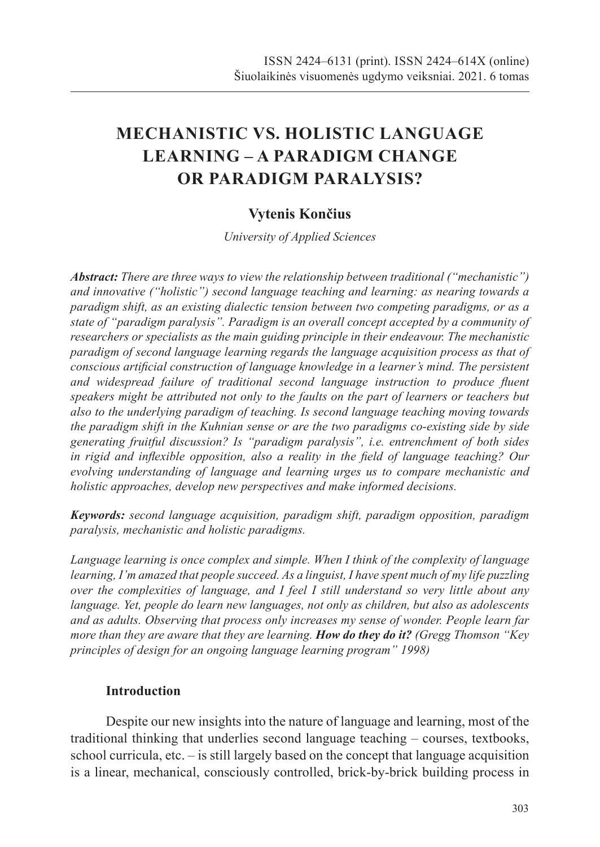# **MECHANISTIC VS. HOLISTIC LANGUAGE LEARNING – A PARADIGM CHANGE OR PARADIGM PARALYSIS?**

### **Vytenis Končius**

*University of Applied Sciences*

*Abstract: There are three ways to view the relationship between traditional ("mechanistic") and innovative ("holistic") second language teaching and learning: as nearing towards a paradigm shift, as an existing dialectic tension between two competing paradigms, or as a state of "paradigm paralysis". Paradigm is an overall concept accepted by a community of researchers or specialists as the main guiding principle in their endeavour. The mechanistic paradigm of second language learning regards the language acquisition process as that of conscious artificial construction of language knowledge in a learner's mind. The persistent and widespread failure of traditional second language instruction to produce fluent speakers might be attributed not only to the faults on the part of learners or teachers but also to the underlying paradigm of teaching. Is second language teaching moving towards the paradigm shift in the Kuhnian sense or are the two paradigms co-existing side by side generating fruitful discussion? Is "paradigm paralysis", i.e. entrenchment of both sides in rigid and inflexible opposition, also a reality in the field of language teaching? Our evolving understanding of language and learning urges us to compare mechanistic and holistic approaches, develop new perspectives and make informed decisions.*

*Keywords: second language acquisition, paradigm shift, paradigm opposition, paradigm paralysis, mechanistic and holistic paradigms.*

*Language learning is once complex and simple. When I think of the complexity of language learning, I'm amazed that people succeed. As a linguist, I have spent much of my life puzzling over the complexities of language, and I feel I still understand so very little about any language. Yet, people do learn new languages, not only as children, but also as adolescents and as adults. Observing that process only increases my sense of wonder. People learn far more than they are aware that they are learning. How do they do it? (Gregg Thomson "Key principles of design for an ongoing language learning program" 1998)*

#### **Introduction**

Despite our new insights into the nature of language and learning, most of the traditional thinking that underlies second language teaching – courses, textbooks, school curricula, etc. – is still largely based on the concept that language acquisition is a linear, mechanical, consciously controlled, brick-by-brick building process in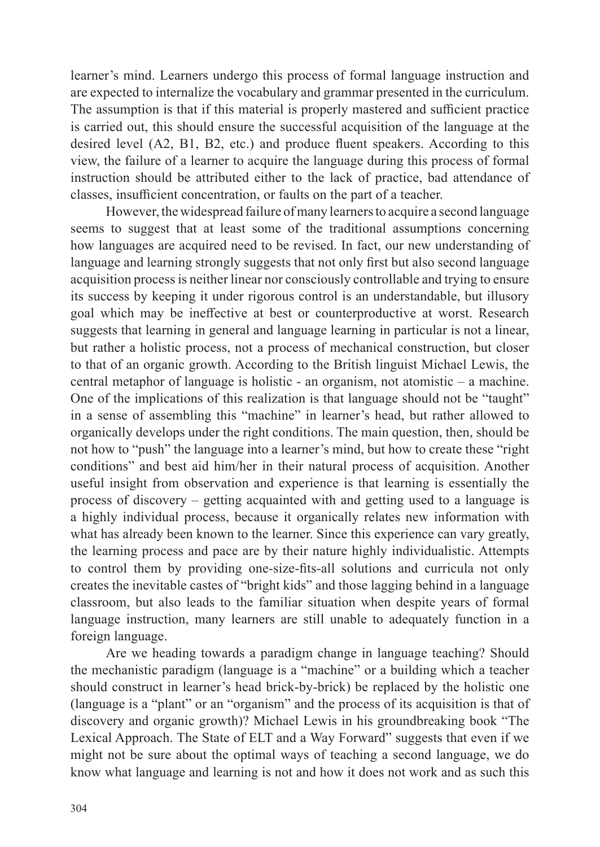learner's mind. Learners undergo this process of formal language instruction and are expected to internalize the vocabulary and grammar presented in the curriculum. The assumption is that if this material is properly mastered and sufficient practice is carried out, this should ensure the successful acquisition of the language at the desired level (A2, B1, B2, etc.) and produce fluent speakers. According to this view, the failure of a learner to acquire the language during this process of formal instruction should be attributed either to the lack of practice, bad attendance of classes, insufficient concentration, or faults on the part of a teacher.

However, the widespread failure of many learners to acquire a second language seems to suggest that at least some of the traditional assumptions concerning how languages are acquired need to be revised. In fact, our new understanding of language and learning strongly suggests that not only first but also second language acquisition process is neither linear nor consciously controllable and trying to ensure its success by keeping it under rigorous control is an understandable, but illusory goal which may be ineffective at best or counterproductive at worst. Research suggests that learning in general and language learning in particular is not a linear, but rather a holistic process, not a process of mechanical construction, but closer to that of an organic growth. According to the British linguist Michael Lewis, the central metaphor of language is holistic - an organism, not atomistic – a machine. One of the implications of this realization is that language should not be "taught" in a sense of assembling this "machine" in learner's head, but rather allowed to organically develops under the right conditions. The main question, then, should be not how to "push" the language into a learner's mind, but how to create these "right conditions" and best aid him/her in their natural process of acquisition. Another useful insight from observation and experience is that learning is essentially the process of discovery – getting acquainted with and getting used to a language is a highly individual process, because it organically relates new information with what has already been known to the learner. Since this experience can vary greatly, the learning process and pace are by their nature highly individualistic. Attempts to control them by providing one-size-fits-all solutions and curricula not only creates the inevitable castes of "bright kids" and those lagging behind in a language classroom, but also leads to the familiar situation when despite years of formal language instruction, many learners are still unable to adequately function in a foreign language.

Are we heading towards a paradigm change in language teaching? Should the mechanistic paradigm (language is a "machine" or a building which a teacher should construct in learner's head brick-by-brick) be replaced by the holistic one (language is a "plant" or an "organism" and the process of its acquisition is that of discovery and organic growth)? Michael Lewis in his groundbreaking book "The Lexical Approach. The State of ELT and a Way Forward" suggests that even if we might not be sure about the optimal ways of teaching a second language, we do know what language and learning is not and how it does not work and as such this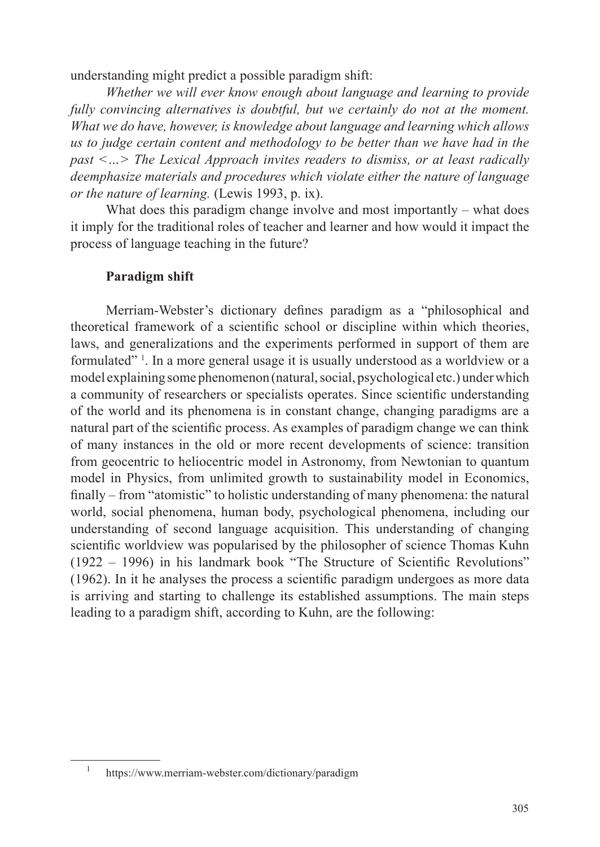understanding might predict a possible paradigm shift:

*Whether we will ever know enough about language and learning to provide fully convincing alternatives is doubtful, but we certainly do not at the moment. What we do have, however, is knowledge about language and learning which allows us to judge certain content and methodology to be better than we have had in the past <…> The Lexical Approach invites readers to dismiss, or at least radically deemphasize materials and procedures which violate either the nature of language or the nature of learning.* (Lewis 1993, p. ix).

What does this paradigm change involve and most importantly – what does it imply for the traditional roles of teacher and learner and how would it impact the process of language teaching in the future?

#### **Paradigm shift**

Merriam-Webster's dictionary defines paradigm as a "philosophical and theoretical framework of a scientific school or discipline within which theories, laws, and generalizations and the experiments performed in support of them are formulated" 1 . In a more general usage it is usually understood as a worldview or a model explaining some phenomenon (natural, social, psychological etc.) under which a community of researchers or specialists operates. Since scientific understanding of the world and its phenomena is in constant change, changing paradigms are a natural part of the scientific process. As examples of paradigm change we can think of many instances in the old or more recent developments of science: transition from geocentric to heliocentric model in Astronomy, from Newtonian to quantum model in Physics, from unlimited growth to sustainability model in Economics, finally – from "atomistic" to holistic understanding of many phenomena: the natural world, social phenomena, human body, psychological phenomena, including our understanding of second language acquisition. This understanding of changing scientific worldview was popularised by the philosopher of science Thomas Kuhn (1922 – 1996) in his landmark book "The Structure of Scientific Revolutions" (1962). In it he analyses the process a scientific paradigm undergoes as more data is arriving and starting to challenge its established assumptions. The main steps leading to a paradigm shift, according to Kuhn, are the following:

<sup>1</sup> https://www.merriam-webster.com/dictionary/paradigm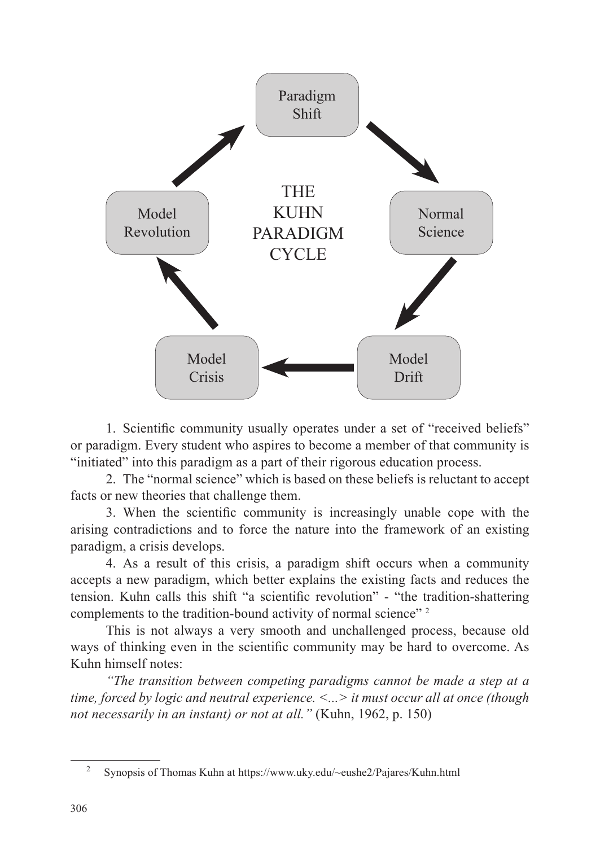

1. Scientific community usually operates under a set of "received beliefs" or paradigm. Every student who aspires to become a member of that community is "initiated" into this paradigm as a part of their rigorous education process.

2. The "normal science" which is based on these beliefs is reluctant to accept facts or new theories that challenge them.

3. When the scientific community is increasingly unable cope with the arising contradictions and to force the nature into the framework of an existing paradigm, a crisis develops.

4. As a result of this crisis, a paradigm shift occurs when a community accepts a new paradigm, which better explains the existing facts and reduces the tension. Kuhn calls this shift "a scientific revolution" - "the tradition-shattering complements to the tradition-bound activity of normal science"<sup>2</sup>

This is not always a very smooth and unchallenged process, because old ways of thinking even in the scientific community may be hard to overcome. As Kuhn himself notes:

*"The transition between competing paradigms cannot be made a step at a time, forced by logic and neutral experience. <...> it must occur all at once (though not necessarily in an instant) or not at all."* (Kuhn, 1962, p. 150)

<sup>2</sup> Synopsis of Thomas Kuhn at https://www.uky.edu/~eushe2/Pajares/Kuhn.html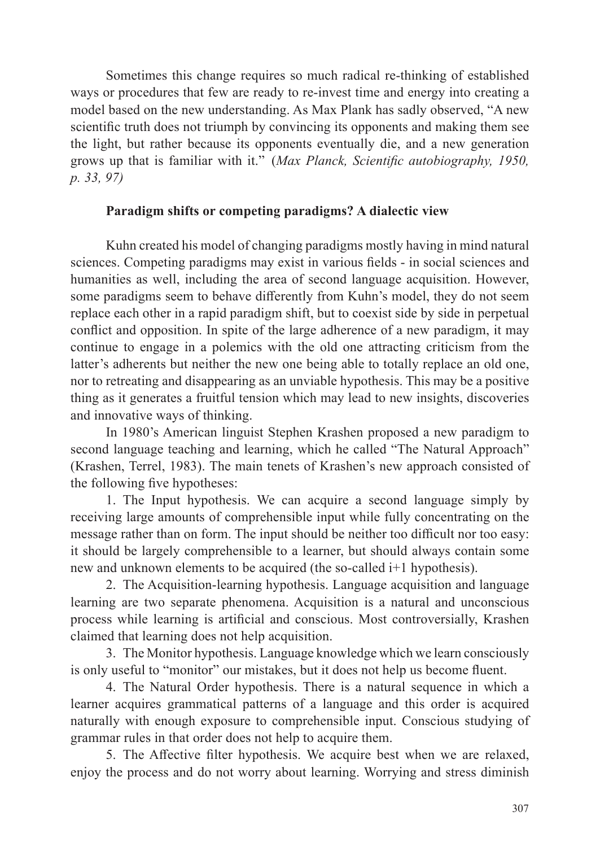Sometimes this change requires so much radical re-thinking of established ways or procedures that few are ready to re-invest time and energy into creating a model based on the new understanding. As Max Plank has sadly observed, "A new scientific truth does not triumph by convincing its opponents and making them see the light, but rather because its opponents eventually die, and a new generation grows up that is familiar with it." (*Max Planck, Scientific autobiography, 1950, p. 33, 97)*

#### **Paradigm shifts or competing paradigms? A dialectic view**

Kuhn created his model of changing paradigms mostly having in mind natural sciences. Competing paradigms may exist in various fields - in social sciences and humanities as well, including the area of second language acquisition. However, some paradigms seem to behave differently from Kuhn's model, they do not seem replace each other in a rapid paradigm shift, but to coexist side by side in perpetual conflict and opposition. In spite of the large adherence of a new paradigm, it may continue to engage in a polemics with the old one attracting criticism from the latter's adherents but neither the new one being able to totally replace an old one, nor to retreating and disappearing as an unviable hypothesis. This may be a positive thing as it generates a fruitful tension which may lead to new insights, discoveries and innovative ways of thinking.

In 1980's American linguist Stephen Krashen proposed a new paradigm to second language teaching and learning, which he called "The Natural Approach" (Krashen, Terrel, 1983). The main tenets of Krashen's new approach consisted of the following five hypotheses:

1. The Input hypothesis. We can acquire a second language simply by receiving large amounts of comprehensible input while fully concentrating on the message rather than on form. The input should be neither too difficult nor too easy: it should be largely comprehensible to a learner, but should always contain some new and unknown elements to be acquired (the so-called i+1 hypothesis).

2. The Acquisition-learning hypothesis. Language acquisition and language learning are two separate phenomena. Acquisition is a natural and unconscious process while learning is artificial and conscious. Most controversially, Krashen claimed that learning does not help acquisition.

3. The Monitor hypothesis. Language knowledge which we learn consciously is only useful to "monitor" our mistakes, but it does not help us become fluent.

4. The Natural Order hypothesis. There is a natural sequence in which a learner acquires grammatical patterns of a language and this order is acquired naturally with enough exposure to comprehensible input. Conscious studying of grammar rules in that order does not help to acquire them.

5. The Affective filter hypothesis. We acquire best when we are relaxed, enjoy the process and do not worry about learning. Worrying and stress diminish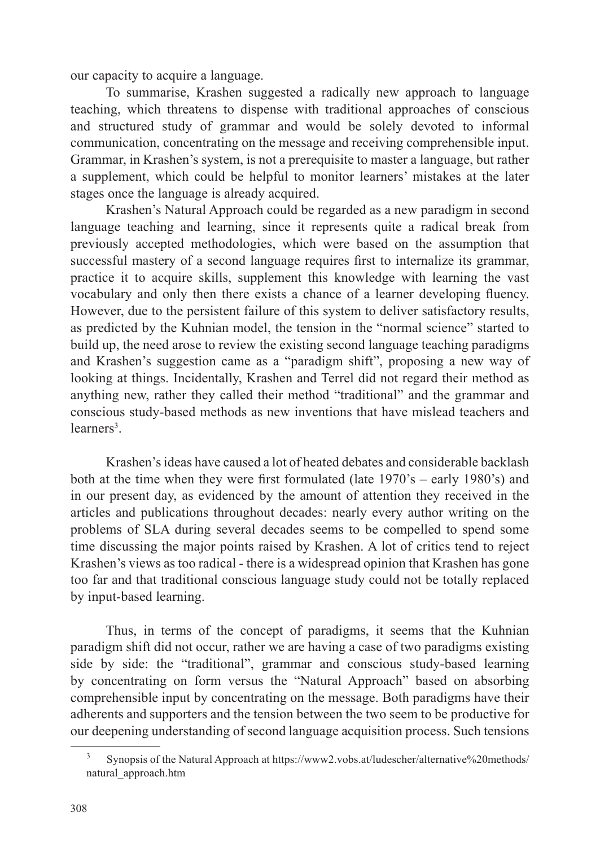our capacity to acquire a language.

To summarise, Krashen suggested a radically new approach to language teaching, which threatens to dispense with traditional approaches of conscious and structured study of grammar and would be solely devoted to informal communication, concentrating on the message and receiving comprehensible input. Grammar, in Krashen's system, is not a prerequisite to master a language, but rather a supplement, which could be helpful to monitor learners' mistakes at the later stages once the language is already acquired.

Krashen's Natural Approach could be regarded as a new paradigm in second language teaching and learning, since it represents quite a radical break from previously accepted methodologies, which were based on the assumption that successful mastery of a second language requires first to internalize its grammar, practice it to acquire skills, supplement this knowledge with learning the vast vocabulary and only then there exists a chance of a learner developing fluency. However, due to the persistent failure of this system to deliver satisfactory results, as predicted by the Kuhnian model, the tension in the "normal science" started to build up, the need arose to review the existing second language teaching paradigms and Krashen's suggestion came as a "paradigm shift", proposing a new way of looking at things. Incidentally, Krashen and Terrel did not regard their method as anything new, rather they called their method "traditional" and the grammar and conscious study-based methods as new inventions that have mislead teachers and learners<sup>3</sup>.

Krashen's ideas have caused a lot of heated debates and considerable backlash both at the time when they were first formulated (late 1970's – early 1980's) and in our present day, as evidenced by the amount of attention they received in the articles and publications throughout decades: nearly every author writing on the problems of SLA during several decades seems to be compelled to spend some time discussing the major points raised by Krashen. A lot of critics tend to reject Krashen's views as too radical - there is a widespread opinion that Krashen has gone too far and that traditional conscious language study could not be totally replaced by input-based learning.

Thus, in terms of the concept of paradigms, it seems that the Kuhnian paradigm shift did not occur, rather we are having a case of two paradigms existing side by side: the "traditional", grammar and conscious study-based learning by concentrating on form versus the "Natural Approach" based on absorbing comprehensible input by concentrating on the message. Both paradigms have their adherents and supporters and the tension between the two seem to be productive for our deepening understanding of second language acquisition process. Such tensions

<sup>3</sup> Synopsis of the Natural Approach at https://www2.vobs.at/ludescher/alternative%20methods/ natural\_approach.htm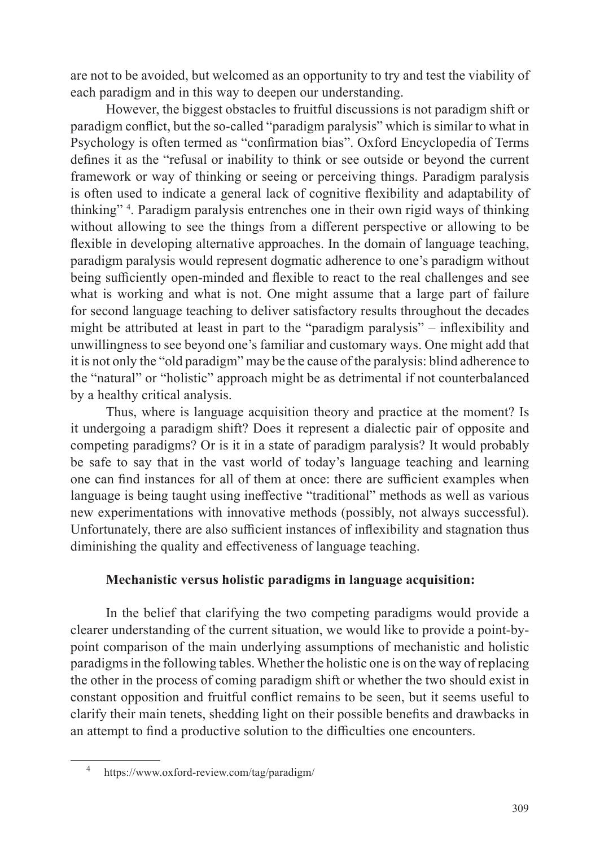are not to be avoided, but welcomed as an opportunity to try and test the viability of each paradigm and in this way to deepen our understanding.

However, the biggest obstacles to fruitful discussions is not paradigm shift or paradigm conflict, but the so-called "paradigm paralysis" which is similar to what in Psychology is often termed as "confirmation bias". Oxford Encyclopedia of Terms defines it as the "refusal or inability to think or see outside or beyond the current framework or way of thinking or seeing or perceiving things. Paradigm paralysis is often used to indicate a general lack of cognitive flexibility and adaptability of thinking" 4 . Paradigm paralysis entrenches one in their own rigid ways of thinking without allowing to see the things from a different perspective or allowing to be flexible in developing alternative approaches. In the domain of language teaching, paradigm paralysis would represent dogmatic adherence to one's paradigm without being sufficiently open-minded and flexible to react to the real challenges and see what is working and what is not. One might assume that a large part of failure for second language teaching to deliver satisfactory results throughout the decades might be attributed at least in part to the "paradigm paralysis" – inflexibility and unwillingness to see beyond one's familiar and customary ways. One might add that it is not only the "old paradigm" may be the cause of the paralysis: blind adherence to the "natural" or "holistic" approach might be as detrimental if not counterbalanced by a healthy critical analysis.

Thus, where is language acquisition theory and practice at the moment? Is it undergoing a paradigm shift? Does it represent a dialectic pair of opposite and competing paradigms? Or is it in a state of paradigm paralysis? It would probably be safe to say that in the vast world of today's language teaching and learning one can find instances for all of them at once: there are sufficient examples when language is being taught using ineffective "traditional" methods as well as various new experimentations with innovative methods (possibly, not always successful). Unfortunately, there are also sufficient instances of inflexibility and stagnation thus diminishing the quality and effectiveness of language teaching.

#### **Mechanistic versus holistic paradigms in language acquisition:**

In the belief that clarifying the two competing paradigms would provide a clearer understanding of the current situation, we would like to provide a point-bypoint comparison of the main underlying assumptions of mechanistic and holistic paradigms in the following tables. Whether the holistic one is on the way of replacing the other in the process of coming paradigm shift or whether the two should exist in constant opposition and fruitful conflict remains to be seen, but it seems useful to clarify their main tenets, shedding light on their possible benefits and drawbacks in an attempt to find a productive solution to the difficulties one encounters.

<sup>4</sup> https://www.oxford-review.com/tag/paradigm/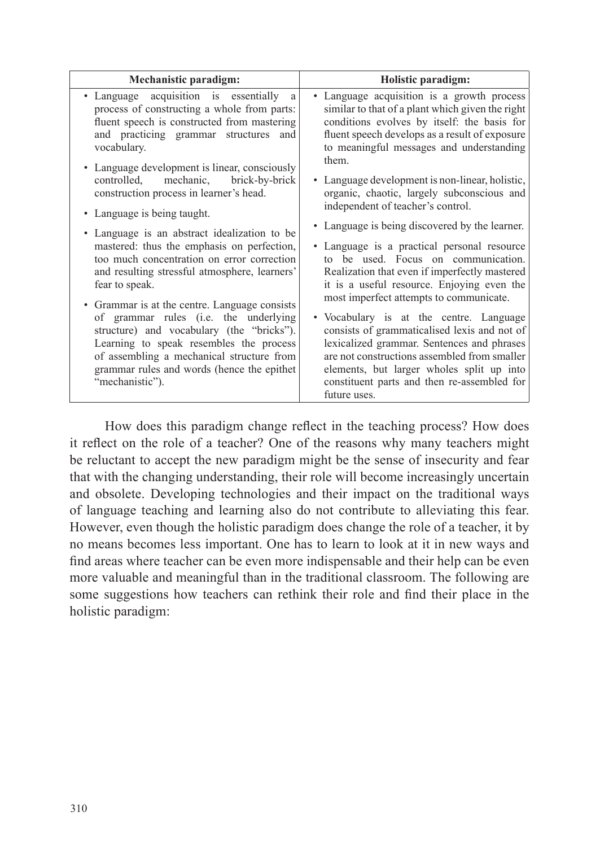How does this paradigm change reflect in the teaching process? How does it reflect on the role of a teacher? One of the reasons why many teachers might be reluctant to accept the new paradigm might be the sense of insecurity and fear that with the changing understanding, their role will become increasingly uncertain and obsolete. Developing technologies and their impact on the traditional ways of language teaching and learning also do not contribute to alleviating this fear. However, even though the holistic paradigm does change the role of a teacher, it by no means becomes less important. One has to learn to look at it in new ways and find areas where teacher can be even more indispensable and their help can be even more valuable and meaningful than in the traditional classroom. The following are some suggestions how teachers can rethink their role and find their place in the holistic paradigm: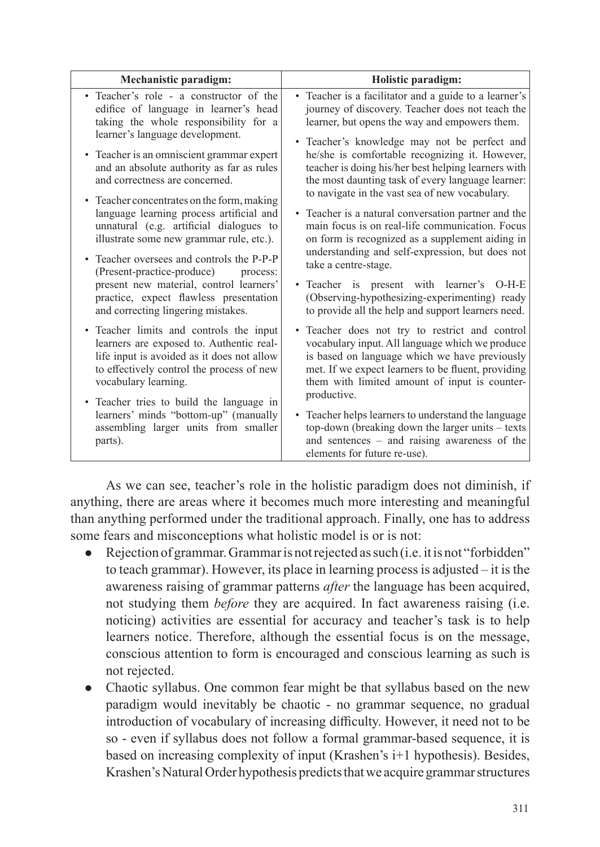| <b>Mechanistic paradigm:</b>                                                                                                                                                                                                                                                                                                                                                       | Holistic paradigm:                                                                                                                                                                                                                                                                                                                                                                                                         |
|------------------------------------------------------------------------------------------------------------------------------------------------------------------------------------------------------------------------------------------------------------------------------------------------------------------------------------------------------------------------------------|----------------------------------------------------------------------------------------------------------------------------------------------------------------------------------------------------------------------------------------------------------------------------------------------------------------------------------------------------------------------------------------------------------------------------|
| • Teacher's role - a constructor of the<br>edifice of language in learner's head<br>taking the whole responsibility for a<br>learner's language development.<br>• Teacher is an omniscient grammar expert<br>and an absolute authority as far as rules<br>and correctness are concerned.<br>• Teacher concentrates on the form, making<br>language learning process artificial and | • Teacher is a facilitator and a guide to a learner's<br>journey of discovery. Teacher does not teach the<br>learner, but opens the way and empowers them.<br>• Teacher's knowledge may not be perfect and<br>he/she is comfortable recognizing it. However,<br>teacher is doing his/her best helping learners with<br>the most daunting task of every language learner:<br>to navigate in the vast sea of new vocabulary. |
| unnatural (e.g. artificial dialogues to<br>illustrate some new grammar rule, etc.).<br>• Teacher oversees and controls the P-P-P<br>(Present-practice-produce)<br>process:<br>present new material, control learners'<br>practice, expect flawless presentation<br>and correcting lingering mistakes.                                                                              | • Teacher is a natural conversation partner and the<br>main focus is on real-life communication. Focus<br>on form is recognized as a supplement aiding in<br>understanding and self-expression, but does not<br>take a centre-stage.<br>• Teacher is present with learner's O-H-E<br>(Observing-hypothesizing-experimenting) ready<br>to provide all the help and support learners need.                                   |
| • Teacher limits and controls the input<br>learners are exposed to. Authentic real-<br>life input is avoided as it does not allow<br>to effectively control the process of new<br>vocabulary learning.<br>• Teacher tries to build the language in                                                                                                                                 | · Teacher does not try to restrict and control<br>vocabulary input. All language which we produce<br>is based on language which we have previously<br>met. If we expect learners to be fluent, providing<br>them with limited amount of input is counter-<br>productive.                                                                                                                                                   |
| learners' minds "bottom-up" (manually<br>assembling larger units from smaller<br>parts).                                                                                                                                                                                                                                                                                           | • Teacher helps learners to understand the language<br>top-down (breaking down the larger units - texts)<br>and sentences - and raising awareness of the<br>elements for future re-use).                                                                                                                                                                                                                                   |

As we can see, teacher's role in the holistic paradigm does not diminish, if anything, there are areas where it becomes much more interesting and meaningful than anything performed under the traditional approach. Finally, one has to address some fears and misconceptions what holistic model is or is not:

- Rejection of grammar. Grammar is not rejected as such (i.e. it is not "forbidden" to teach grammar). However, its place in learning process is adjusted – it is the awareness raising of grammar patterns *after* the language has been acquired, not studying them *before* they are acquired. In fact awareness raising (i.e. noticing) activities are essential for accuracy and teacher's task is to help learners notice. Therefore, although the essential focus is on the message, conscious attention to form is encouraged and conscious learning as such is not rejected.
- Chaotic syllabus. One common fear might be that syllabus based on the new paradigm would inevitably be chaotic - no grammar sequence, no gradual introduction of vocabulary of increasing difficulty. However, it need not to be so - even if syllabus does not follow a formal grammar-based sequence, it is based on increasing complexity of input (Krashen's i+1 hypothesis). Besides, Krashen's Natural Order hypothesis predicts that we acquire grammar structures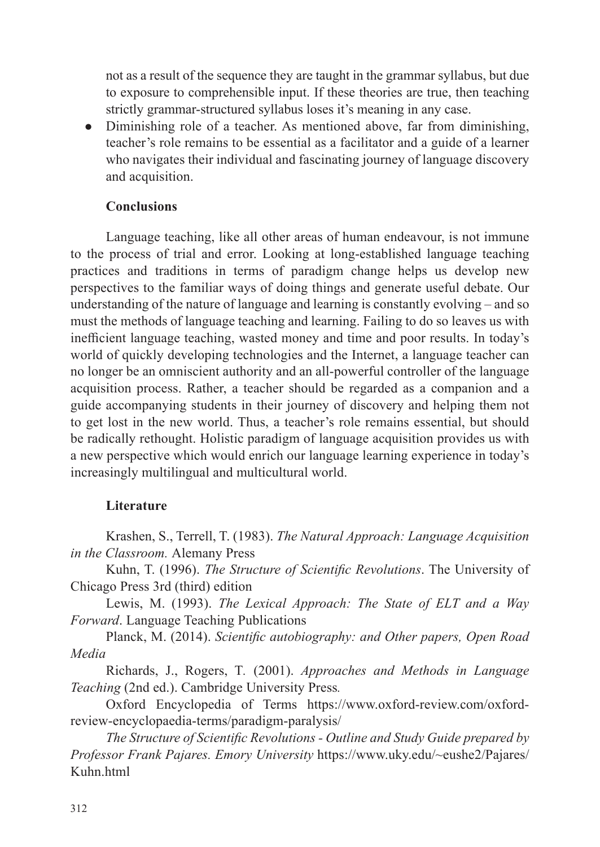not as a result of the sequence they are taught in the grammar syllabus, but due to exposure to comprehensible input. If these theories are true, then teaching strictly grammar-structured syllabus loses it's meaning in any case.

• Diminishing role of a teacher. As mentioned above, far from diminishing, teacher's role remains to be essential as a facilitator and a guide of a learner who navigates their individual and fascinating journey of language discovery and acquisition.

#### **Conclusions**

Language teaching, like all other areas of human endeavour, is not immune to the process of trial and error. Looking at long-established language teaching practices and traditions in terms of paradigm change helps us develop new perspectives to the familiar ways of doing things and generate useful debate. Our understanding of the nature of language and learning is constantly evolving – and so must the methods of language teaching and learning. Failing to do so leaves us with inefficient language teaching, wasted money and time and poor results. In today's world of quickly developing technologies and the Internet, a language teacher can no longer be an omniscient authority and an all-powerful controller of the language acquisition process. Rather, a teacher should be regarded as a companion and a guide accompanying students in their journey of discovery and helping them not to get lost in the new world. Thus, a teacher's role remains essential, but should be radically rethought. Holistic paradigm of language acquisition provides us with a new perspective which would enrich our language learning experience in today's increasingly multilingual and multicultural world.

#### **Literature**

Krashen, S., Terrell, T. (1983). *The Natural Approach: Language Acquisition in the Classroom.* Alemany Press

Kuhn, T. (1996). *The Structure of Scientific Revolutions*. The University of Chicago Press 3rd (third) edition

Lewis, M. (1993). *The Lexical Approach: The State of ELT and a Way Forward*. Language Teaching Publications

Planck, M. (2014). *Scientific autobiography: and Other papers, Open Road Media*

Richards, J., Rogers, T*.* (2001). *Approaches and Methods in Language Teaching* (2nd ed.). Cambridge University Press*.*

Oxford Encyclopedia of Terms https://www.oxford-review.com/oxfordreview-encyclopaedia-terms/paradigm-paralysis/

*The Structure of Scientific Revolutions - Outline and Study Guide prepared by Professor Frank Pajares. Emory University* https://www.uky.edu/~eushe2/Pajares/ Kuhn.html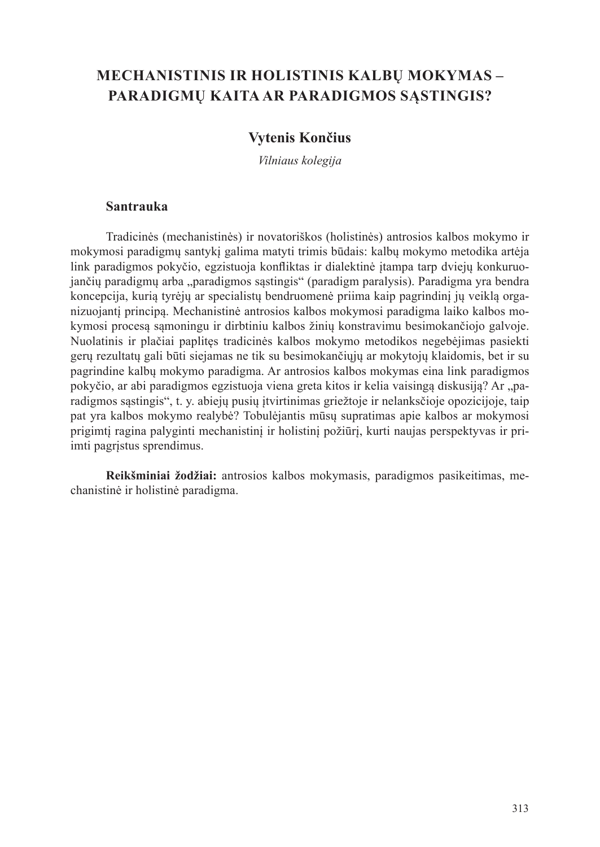## **MECHANISTINIS IR HOLISTINIS KALBŲ MOKYMAS – PARADIGMŲ KAITA AR PARADIGMOS SĄSTINGIS?**

#### **Vytenis Končius**

*Vilniaus kolegija*

#### **Santrauka**

Tradicinės (mechanistinės) ir novatoriškos (holistinės) antrosios kalbos mokymo ir mokymosi paradigmų santykį galima matyti trimis būdais: kalbų mokymo metodika artėja link paradigmos pokyčio, egzistuoja konfliktas ir dialektinė įtampa tarp dviejų konkuruojančių paradigmų arba "paradigmos sąstingis" (paradigm paralysis). Paradigma yra bendra koncepcija, kurią tyrėjų ar specialistų bendruomenė priima kaip pagrindinį jų veiklą organizuojantį principą. Mechanistinė antrosios kalbos mokymosi paradigma laiko kalbos mokymosi procesą sąmoningu ir dirbtiniu kalbos žinių konstravimu besimokančiojo galvoje. Nuolatinis ir plačiai paplitęs tradicinės kalbos mokymo metodikos negebėjimas pasiekti gerų rezultatų gali būti siejamas ne tik su besimokančiųjų ar mokytojų klaidomis, bet ir su pagrindine kalbų mokymo paradigma. Ar antrosios kalbos mokymas eina link paradigmos pokyčio, ar abi paradigmos egzistuoja viena greta kitos ir kelia vaisingą diskusiją? Ar "paradigmos sąstingis", t. y. abiejų pusių įtvirtinimas griežtoje ir nelanksčioje opozicijoje, taip pat yra kalbos mokymo realybė? Tobulėjantis mūsų supratimas apie kalbos ar mokymosi prigimtį ragina palyginti mechanistinį ir holistinį požiūrį, kurti naujas perspektyvas ir priimti pagrįstus sprendimus.

**Reikšminiai žodžiai:** antrosios kalbos mokymasis, paradigmos pasikeitimas, mechanistinė ir holistinė paradigma.